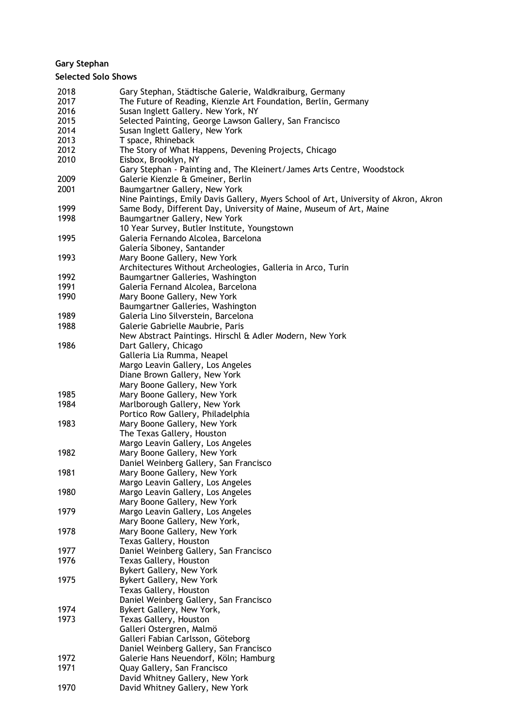# **Gary Stephan**

## **Selected Solo Shows**

| 2018 | Gary Stephan, Städtische Galerie, Waldkraiburg, Germany                              |
|------|--------------------------------------------------------------------------------------|
| 2017 | The Future of Reading, Kienzle Art Foundation, Berlin, Germany                       |
| 2016 | Susan Inglett Gallery. New York, NY                                                  |
| 2015 | Selected Painting, George Lawson Gallery, San Francisco                              |
| 2014 | Susan Inglett Gallery, New York                                                      |
| 2013 | T space, Rhineback                                                                   |
| 2012 | The Story of What Happens, Devening Projects, Chicago                                |
| 2010 |                                                                                      |
|      | Eisbox, Brooklyn, NY                                                                 |
|      | Gary Stephan - Painting and, The Kleinert/James Arts Centre, Woodstock               |
| 2009 | Galerie Kienzle & Gmeiner, Berlin                                                    |
| 2001 | Baumgartner Gallery, New York                                                        |
|      | Nine Paintings, Emily Davis Gallery, Myers School of Art, University of Akron, Akron |
| 1999 | Same Body, Different Day, University of Maine, Museum of Art, Maine                  |
| 1998 | Baumgartner Gallery, New York                                                        |
|      | 10 Year Survey, Butler Institute, Youngstown                                         |
| 1995 | Galeria Fernando Alcolea, Barcelona                                                  |
|      | Galería Siboney, Santander                                                           |
| 1993 | Mary Boone Gallery, New York                                                         |
|      | Architectures Without Archeologies, Galleria in Arco, Turin                          |
| 1992 | Baumgartner Galleries, Washington                                                    |
| 1991 | Galeria Fernand Alcolea, Barcelona                                                   |
| 1990 | Mary Boone Gallery, New York                                                         |
|      | Baumgartner Galleries, Washington                                                    |
| 1989 | Galeria Lino Silverstein, Barcelona                                                  |
| 1988 | Galerie Gabrielle Maubrie, Paris                                                     |
|      | New Abstract Paintings. Hirschl & Adler Modern, New York                             |
| 1986 | Dart Gallery, Chicago                                                                |
|      |                                                                                      |
|      | Galleria Lia Rumma, Neapel                                                           |
|      | Margo Leavin Gallery, Los Angeles                                                    |
|      | Diane Brown Gallery, New York                                                        |
|      | Mary Boone Gallery, New York                                                         |
| 1985 | Mary Boone Gallery, New York                                                         |
| 1984 | Marlborough Gallery, New York                                                        |
|      | Portico Row Gallery, Philadelphia                                                    |
| 1983 | Mary Boone Gallery, New York                                                         |
|      | The Texas Gallery, Houston                                                           |
|      | Margo Leavin Gallery, Los Angeles                                                    |
| 1982 | Mary Boone Gallery, New York                                                         |
|      | Daniel Weinberg Gallery, San Francisco                                               |
| 1981 | Mary Boone Gallery, New York                                                         |
|      | Margo Leavin Gallery, Los Angeles                                                    |
| 1980 | Margo Leavin Gallery, Los Angeles                                                    |
|      | Mary Boone Gallery, New York                                                         |
| 1979 | Margo Leavin Gallery, Los Angeles                                                    |
|      | Mary Boone Gallery, New York,                                                        |
| 1978 | Mary Boone Gallery, New York                                                         |
|      | Texas Gallery, Houston                                                               |
| 1977 | Daniel Weinberg Gallery, San Francisco                                               |
| 1976 | Texas Gallery, Houston                                                               |
|      | Bykert Gallery, New York                                                             |
| 1975 | Bykert Gallery, New York                                                             |
|      |                                                                                      |
|      | Texas Gallery, Houston                                                               |
|      | Daniel Weinberg Gallery, San Francisco                                               |
| 1974 | Bykert Gallery, New York,                                                            |
| 1973 | Texas Gallery, Houston                                                               |
|      | Galleri Ostergren, Malmö                                                             |
|      | Galleri Fabian Carlsson, Göteborg                                                    |
|      | Daniel Weinberg Gallery, San Francisco                                               |
| 1972 | Galerie Hans Neuendorf, Köln; Hamburg                                                |
| 1971 | Quay Gallery, San Francisco                                                          |
|      | David Whitney Gallery, New York                                                      |
| 1970 | David Whitney Gallery, New York                                                      |
|      |                                                                                      |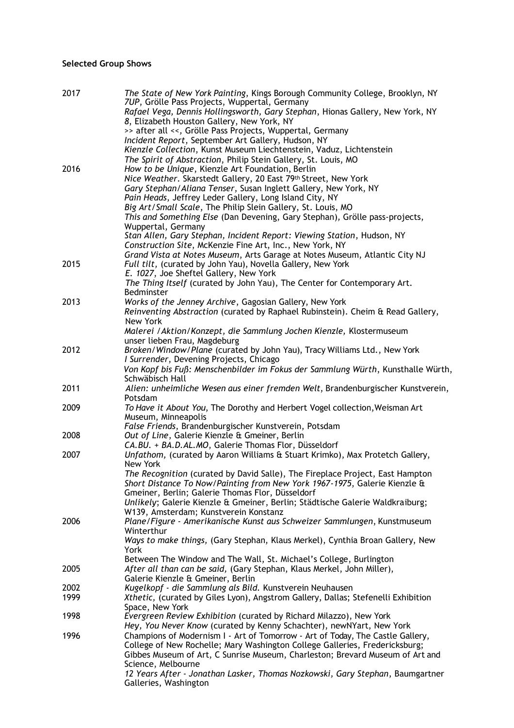## **Selected Group Shows**

| 2017 | The State of New York Painting, Kings Borough Community College, Brooklyn, NY<br>7UP, Grölle Pass Projects, Wuppertal, Germany<br>Rafael Vega, Dennis Hollingsworth, Gary Stephan, Hionas Gallery, New York, NY |
|------|-----------------------------------------------------------------------------------------------------------------------------------------------------------------------------------------------------------------|
|      | 8, Elizabeth Houston Gallery, New York, NY<br>>> after all <<, Grölle Pass Projects, Wuppertal, Germany                                                                                                         |
|      | Incident Report, September Art Gallery, Hudson, NY<br>Kienzle Collection, Kunst Museum Liechtenstein, Vaduz, Lichtenstein                                                                                       |
|      | The Spirit of Abstraction, Philip Stein Gallery, St. Louis, MO                                                                                                                                                  |
| 2016 | How to be Unique, Kienzle Art Foundation, Berlin                                                                                                                                                                |
|      | Nice Weather. Skarstedt Gallery, 20 East 79th Street, New York                                                                                                                                                  |
|      | Gary Stephan/Aliana Tenser, Susan Inglett Gallery, New York, NY<br>Pain Heads, Jeffrey Leder Gallery, Long Island City, NY                                                                                      |
|      | Big Art/Small Scale, The Philip Slein Gallery, St. Louis, MO                                                                                                                                                    |
|      | This and Something Else (Dan Devening, Gary Stephan), Grölle pass-projects,<br>Wuppertal, Germany                                                                                                               |
|      | Stan Allen, Gary Stephan, Incident Report: Viewing Station, Hudson, NY                                                                                                                                          |
|      | Construction Site, McKenzie Fine Art, Inc., New York, NY<br>Grand Vista at Notes Museum, Arts Garage at Notes Museum, Atlantic City NJ                                                                          |
| 2015 | Full tilt, (curated by John Yau), Novella Gallery, New York<br>E. 1027, Joe Sheftel Gallery, New York                                                                                                           |
|      | The Thing Itself (curated by John Yau), The Center for Contemporary Art.<br>Bedminster                                                                                                                          |
| 2013 | Works of the Jenney Archive, Gagosian Gallery, New York                                                                                                                                                         |
|      | Reinventing Abstraction (curated by Raphael Rubinstein). Cheim & Read Gallery,<br>New York                                                                                                                      |
|      | Malerei / Aktion/Konzept, die Sammlung Jochen Kienzle, Klostermuseum                                                                                                                                            |
|      | unser lieben Frau, Magdeburg                                                                                                                                                                                    |
| 2012 | Broken/Window/Plane (curated by John Yau), Tracy Williams Ltd., New York<br>I Surrender, Devening Projects, Chicago                                                                                             |
|      | Von Kopf bis Fuß: Menschenbilder im Fokus der Sammlung Würth, Kunsthalle Würth,<br>Schwäbisch Hall                                                                                                              |
| 2011 | Alien: unheimliche Wesen aus einer fremden Welt, Brandenburgischer Kunstverein,                                                                                                                                 |
| 2009 | Potsdam<br>To Have it About You, The Dorothy and Herbert Vogel collection, Weisman Art<br>Museum, Minneapolis                                                                                                   |
|      | False Friends, Brandenburgischer Kunstverein, Potsdam                                                                                                                                                           |
| 2008 | Out of Line, Galerie Kienzle & Gmeiner, Berlin                                                                                                                                                                  |
|      | CA.BU. + BA.D.AL.MO, Galerie Thomas Flor, Düsseldorf                                                                                                                                                            |
| 2007 | Unfathom, (curated by Aaron Williams & Stuart Krimko), Max Protetch Gallery,<br>New York<br>The Recognition (curated by David Salle), The Fireplace Project, East Hampton                                       |
|      | Short Distance To Now/Painting from New York 1967-1975, Galerie Kienzle &<br>Gmeiner, Berlin; Galerie Thomas Flor, Düsseldorf                                                                                   |
|      | Unlikely; Galerie Kienzle & Gmeiner, Berlin; Städtische Galerie Waldkraiburg;                                                                                                                                   |
|      | W139, Amsterdam; Kunstverein Konstanz                                                                                                                                                                           |
| 2006 | Plane/Figure - Amerikanische Kunst aus Schweizer Sammlungen, Kunstmuseum<br>Winterthur                                                                                                                          |
|      | Ways to make things, (Gary Stephan, Klaus Merkel), Cynthia Broan Gallery, New<br>York                                                                                                                           |
|      | Between The Window and The Wall, St. Michael's College, Burlington                                                                                                                                              |
| 2005 | After all than can be said, (Gary Stephan, Klaus Merkel, John Miller),<br>Galerie Kienzle & Gmeiner, Berlin                                                                                                     |
| 2002 | Kugelkopf - die Sammlung als Bild. Kunstverein Neuhausen                                                                                                                                                        |
| 1999 | Xthetic, (curated by Giles Lyon), Angstrom Gallery, Dallas; Stefenelli Exhibition                                                                                                                               |
|      | Space, New York                                                                                                                                                                                                 |
| 1998 | Evergreen Review Exhibition (curated by Richard Milazzo), New York<br>Hey, You Never Know (curated by Kenny Schachter), newNYart, New York                                                                      |
| 1996 | Champions of Modernism I - Art of Tomorrow - Art of Today, The Castle Gallery,                                                                                                                                  |
|      | College of New Rochelle; Mary Washington College Galleries, Fredericksburg;<br>Gibbes Museum of Art, C Sunrise Museum, Charleston; Brevard Museum of Art and                                                    |
|      | Science, Melbourne                                                                                                                                                                                              |
|      | 12 Years After - Jonathan Lasker, Thomas Nozkowski, Gary Stephan, Baumgartner<br>Galleries, Washington                                                                                                          |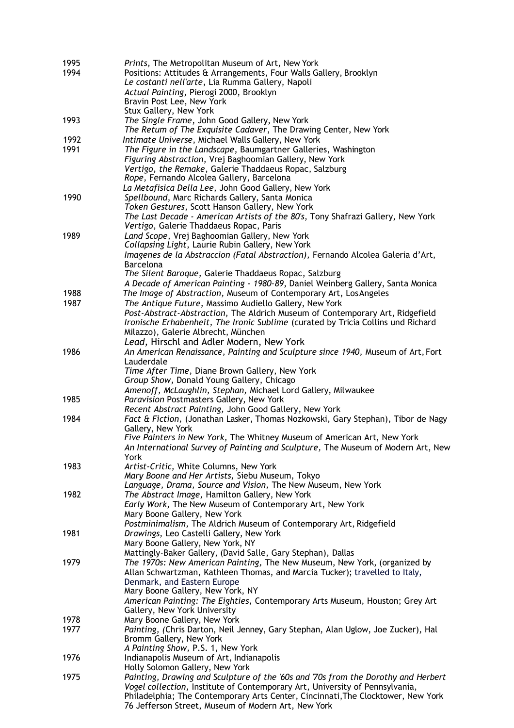| 1995 | Prints, The Metropolitan Museum of Art, New York                                                      |
|------|-------------------------------------------------------------------------------------------------------|
| 1994 | Positions: Attitudes & Arrangements, Four Walls Gallery, Brooklyn                                     |
|      | Le costanti nell'arte, Lia Rumma Gallery, Napoli                                                      |
|      | Actual Painting, Pierogi 2000, Brooklyn                                                               |
|      | Bravin Post Lee, New York                                                                             |
|      | Stux Gallery, New York                                                                                |
| 1993 | The Single Frame, John Good Gallery, New York                                                         |
|      | The Retum of The Exquisite Cadaver, The Drawing Center, New York                                      |
| 1992 | Intimate Universe, Michael Walls Gallery, New York                                                    |
| 1991 | The Figure in the Landscape, Baumgartner Galleries, Washington                                        |
|      | Figuring Abstraction, Vrej Baghoomian Gallery, New York                                               |
|      | Vertigo, the Remake, Galerie Thaddaeus Ropac, Salzburg                                                |
|      | Rope, Fernando Alcolea Gallery, Barcelona                                                             |
|      | La Metafisica Della Lee, John Good Gallery, New York                                                  |
| 1990 | Spellbound, Marc Richards Gallery, Santa Monica                                                       |
|      | Token Gestures, Scott Hanson Gallery, New York                                                        |
|      | The Last Decade - American Artists of the 80's, Tony Shafrazi Gallery, New York                       |
|      | Vertigo, Galerie Thaddaeus Ropac, Paris                                                               |
| 1989 | Land Scope, Vrej Baghoomian Gallery, New York                                                         |
|      | Collapsing Light, Laurie Rubin Gallery, New York                                                      |
|      | Imagenes de la Abstraccion (Fatal Abstraction), Fernando Alcolea Galeria d'Art,                       |
|      | <b>Barcelona</b>                                                                                      |
|      | The Silent Baroque, Galerie Thaddaeus Ropac, Salzburg                                                 |
|      | A Decade of American Painting - 1980-89, Daniel Weinberg Gallery, Santa Monica                        |
| 1988 | The Image of Abstraction, Museum of Contemporary Art, Los Angeles                                     |
| 1987 | The Antique Future, Massimo Audiello Gallery, New York                                                |
|      | Post-Abstract-Abstraction, The Aldrich Museum of Contemporary Art, Ridgefield                         |
|      | Ironische Erhabenheit, The Ironic Sublime (curated by Tricia Collins und Richard                      |
|      | Milazzo), Galerie Albrecht, München                                                                   |
|      | Lead, Hirschl and Adler Modern, New York                                                              |
| 1986 | An American Renaissance, Painting and Sculpture since 1940, Museum of Art, Fort                       |
|      | Lauderdale                                                                                            |
|      | Time After Time, Diane Brown Gallery, New York                                                        |
|      | Group Show, Donald Young Gallery, Chicago                                                             |
|      | Amenoff, McLaughlin, Stephan, Michael Lord Gallery, Milwaukee                                         |
| 1985 | Paravision Postmasters Gallery, New York                                                              |
|      | Recent Abstract Painting, John Good Gallery, New York                                                 |
| 1984 | Fact & Fiction, (Jonathan Lasker, Thomas Nozkowski, Gary Stephan), Tibor de Nagy<br>Gallery, New York |
|      | Five Painters in New York, The Whitney Museum of American Art, New York                               |
|      | An International Survey of Painting and Sculpture, The Museum of Modern Art, New                      |
|      | York                                                                                                  |
| 1983 | Artist-Critic, White Columns, New York                                                                |
|      | Mary Boone and Her Artists, Siebu Museum, Tokyo                                                       |
|      | Language, Drama, Source and Vision, The New Museum, New York                                          |
| 1982 | The Abstract Image, Hamilton Gallery, New York                                                        |
|      | Early Work, The New Museum of Contemporary Art, New York                                              |
|      | Mary Boone Gallery, New York                                                                          |
|      | Postminimalism, The Aldrich Museum of Contemporary Art, Ridgefield                                    |
| 1981 | Drawings, Leo Castelli Gallery, New York                                                              |
|      | Mary Boone Gallery, New York, NY                                                                      |
|      | Mattingly-Baker Gallery, (David Salle, Gary Stephan), Dallas                                          |
| 1979 | The 1970s: New American Painting, The New Museum, New York, (organized by                             |
|      | Allan Schwartzman, Kathleen Thomas, and Marcia Tucker); travelled to Italy,                           |
|      | Denmark, and Eastern Europe                                                                           |
|      | Mary Boone Gallery, New York, NY                                                                      |
|      | American Painting: The Eighties, Contemporary Arts Museum, Houston; Grey Art                          |
|      | Gallery, New York University                                                                          |
| 1978 | Mary Boone Gallery, New York                                                                          |
| 1977 | Painting, (Chris Darton, Neil Jenney, Gary Stephan, Alan Uglow, Joe Zucker), Hal                      |
|      | Bromm Gallery, New York                                                                               |
|      | A Painting Show, P.S. 1, New York                                                                     |
| 1976 | Indianapolis Museum of Art, Indianapolis<br>Holly Solomon Gallery, New York                           |
| 1975 | Painting, Drawing and Sculpture of the '60s and '70s from the Dorothy and Herbert                     |
|      | Vogel collection, Institute of Contemporary Art, University of Pennsylvania,                          |
|      | Philadelphia; The Contemporary Arts Center, Cincinnati, The Clocktower, New York                      |
|      | 76 Jefferson Street, Museum of Modern Art, New York                                                   |
|      |                                                                                                       |